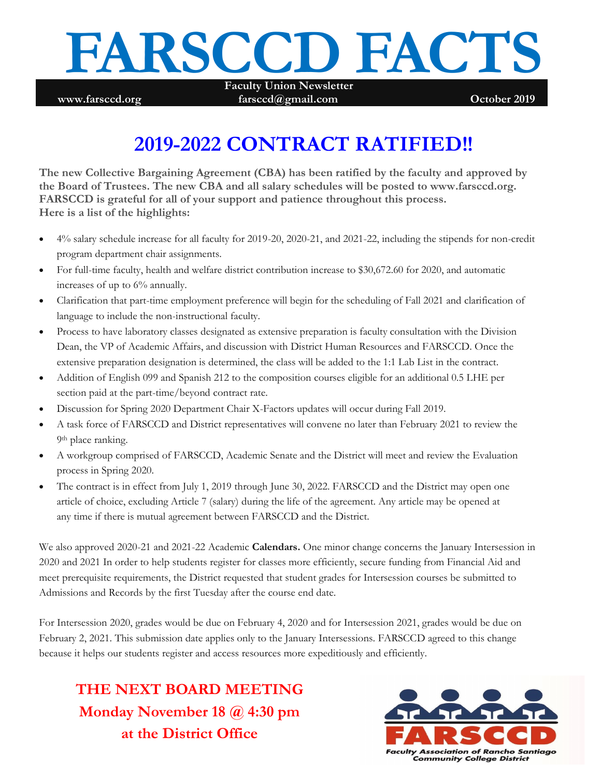# **FARSCCD FACTS**

**Faculty Union Newsletter www.farsccd.org** farsccd@gmail.com **October 2019** 

### **2019-2022 CONTRACT RATIFIED!!**

**The new Collective Bargaining Agreement (CBA) has been ratified by the faculty and approved by the Board of Trustees. The new CBA and all salary schedules will be posted to www.farsccd.org. FARSCCD is grateful for all of your support and patience throughout this process. Here is a list of the highlights:**

- 4% salary schedule increase for all faculty for 2019-20, 2020-21, and 2021-22, including the stipends for non-credit program department chair assignments.
- For full-time faculty, health and welfare district contribution increase to \$30,672.60 for 2020, and automatic increases of up to 6% annually.
- Clarification that part-time employment preference will begin for the scheduling of Fall 2021 and clarification of language to include the non-instructional faculty.
- Process to have laboratory classes designated as extensive preparation is faculty consultation with the Division Dean, the VP of Academic Affairs, and discussion with District Human Resources and FARSCCD. Once the extensive preparation designation is determined, the class will be added to the 1:1 Lab List in the contract.
- Addition of English 099 and Spanish 212 to the composition courses eligible for an additional 0.5 LHE per section paid at the part-time/beyond contract rate.
- Discussion for Spring 2020 Department Chair X-Factors updates will occur during Fall 2019.
- A task force of FARSCCD and District representatives will convene no later than February 2021 to review the 9th place ranking.
- A workgroup comprised of FARSCCD, Academic Senate and the District will meet and review the Evaluation process in Spring 2020.
- The contract is in effect from July 1, 2019 through June 30, 2022. FARSCCD and the District may open one article of choice, excluding Article 7 (salary) during the life of the agreement. Any article may be opened at any time if there is mutual agreement between FARSCCD and the District.

We also approved 2020-21 and 2021-22 Academic **Calendars.** One minor change concerns the January Intersession in 2020 and 2021 In order to help students register for classes more efficiently, secure funding from Financial Aid and meet prerequisite requirements, the District requested that student grades for Intersession courses be submitted to Admissions and Records by the first Tuesday after the course end date.

For Intersession 2020, grades would be due on February 4, 2020 and for Intersession 2021, grades would be due on February 2, 2021. This submission date applies only to the January Intersessions. FARSCCD agreed to this change because it helps our students register and access resources more expeditiously and efficiently.

**THE NEXT BOARD MEETING Monday November 18 @ 4:30 pm at the District Office** 

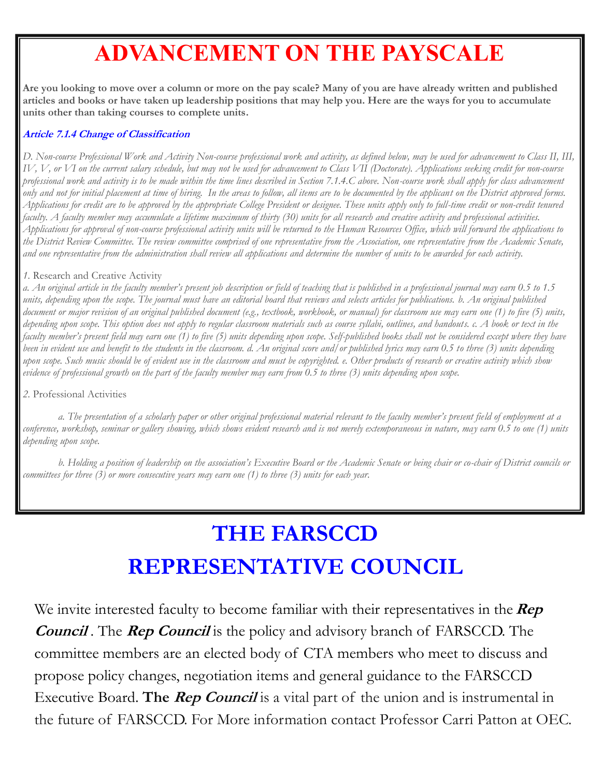### **ADVANCEMENT ON THE PAYSCALE**

**Are you looking to move over a column or more on the pay scale? Many of you are have already written and published articles and books or have taken up leadership positions that may help you. Here are the ways for you to accumulate units other than taking courses to complete units.**

#### **Article 7.1.4 Change of Classification**

*D. Non-course Professional Work and Activity Non-course professional work and activity, as defined below, may be used for advancement to Class II, III, IV, V, or VI on the current salary schedule, but may not be used for advancement to Class VII (Doctorate). Applications seeking credit for non-course professional work and activity is to be made within the time lines described in Section 7.1.4.C above. Non-course work shall apply for class advancement only and not for initial placement at time of hiring. In the areas to follow, all items are to be documented by the applicant on the District approved forms. Applications for credit are to be approved by the appropriate College President or designee. These units apply only to full-time credit or non-credit tenured faculty. A faculty member may accumulate a lifetime maximum of thirty (30) units for all research and creative activity and professional activities. Applications for approval of non-course professional activity units will be returned to the Human Resources Office, which will forward the applications to the District Review Committee. The review committee comprised of one representative from the Association, one representative from the Academic Senate, and one representative from the administration shall review all applications and determine the number of units to be awarded for each activity.* 

#### *1.* Research and Creative Activity

*a. An original article in the faculty member's present job description or field of teaching that is published in a professional journal may earn 0.5 to 1.5 units, depending upon the scope. The journal must have an editorial board that reviews and selects articles for publications. b. An original published document or major revision of an original published document (e.g., textbook, workbook, or manual) for classroom use may earn one (1) to five (5) units, depending upon scope. This option does not apply to regular classroom materials such as course syllabi, outlines, and handouts. c. A book or text in the faculty member's present field may earn one (1) to five (5) units depending upon scope. Self-published books shall not be considered except where they have been in evident use and benefit to the students in the classroom. d. An original score and/or published lyrics may earn 0.5 to three (3) units depending upon scope. Such music should be of evident use in the classroom and must be copyrighted. e. Other products of research or creative activity which show evidence of professional growth on the part of the faculty member may earn from 0.5 to three (3) units depending upon scope.* 

#### *2.* Professional Activities

*a. The presentation of a scholarly paper or other original professional material relevant to the faculty member's present field of employment at a conference, workshop, seminar or gallery showing, which shows evident research and is not merely extemporaneous in nature, may earn 0.5 to one (1) units depending upon scope.* 

*b. Holding a position of leadership on the association's Executive Board or the Academic Senate or being chair or co-chair of District councils or committees for three (3) or more consecutive years may earn one (1) to three (3) units for each year.*

### **THE FARSCCD REPRESENTATIVE COUNCIL**

We invite interested faculty to become familiar with their representatives in the **Rep Council**. The **Rep Council** is the policy and advisory branch of FARSCCD. The committee members are an elected body of CTA members who meet to discuss and propose policy changes, negotiation items and general guidance to the FARSCCD Executive Board. **The Rep Council** is a vital part of the union and is instrumental in the future of FARSCCD. For More information contact Professor Carri Patton at OEC.